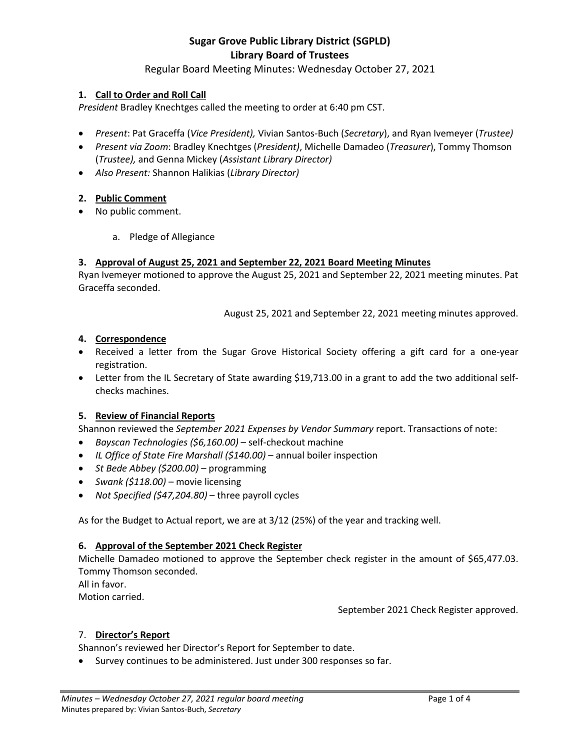# Regular Board Meeting Minutes: Wednesday October 27, 2021

#### **1. Call to Order and Roll Call**

*President* Bradley Knechtges called the meeting to order at 6:40 pm CST.

- *Present*: Pat Graceffa (*Vice President),* Vivian Santos-Buch (*Secretary*), and Ryan Ivemeyer (*Trustee)*
- *Present via Zoom*: Bradley Knechtges (*President)*, Michelle Damadeo (*Treasurer*), Tommy Thomson (*Trustee),* and Genna Mickey (*Assistant Library Director)*
- *Also Present:* Shannon Halikias (*Library Director)*

#### **2. Public Comment**

- No public comment.
	- a. Pledge of Allegiance

#### **3. Approval of August 25, 2021 and September 22, 2021 Board Meeting Minutes**

Ryan Ivemeyer motioned to approve the August 25, 2021 and September 22, 2021 meeting minutes. Pat Graceffa seconded.

August 25, 2021 and September 22, 2021 meeting minutes approved.

#### **4. Correspondence**

- Received a letter from the Sugar Grove Historical Society offering a gift card for a one-year registration.
- Letter from the IL Secretary of State awarding \$19,713.00 in a grant to add the two additional selfchecks machines.

# **5. Review of Financial Reports**

Shannon reviewed the *September 2021 Expenses by Vendor Summary* report. Transactions of note:

- *Bayscan Technologies (\$6,160.00)* self-checkout machine
- *IL Office of State Fire Marshall (\$140.00)*  annual boiler inspection
- *St Bede Abbey (\$200.00)*  programming
- *Swank (\$118.00)* movie licensing
- *Not Specified (\$47,204.80)*  three payroll cycles

As for the Budget to Actual report, we are at 3/12 (25%) of the year and tracking well.

#### **6. Approval of the September 2021 Check Register**

Michelle Damadeo motioned to approve the September check register in the amount of \$65,477.03. Tommy Thomson seconded.

All in favor.

Motion carried.

September 2021 Check Register approved.

# 7. **Director's Report**

Shannon's reviewed her Director's Report for September to date.

Survey continues to be administered. Just under 300 responses so far.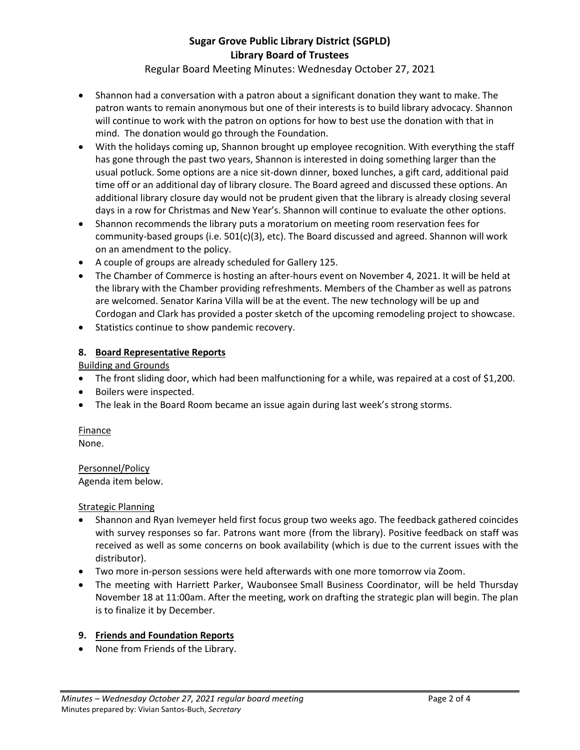Regular Board Meeting Minutes: Wednesday October 27, 2021

- Shannon had a conversation with a patron about a significant donation they want to make. The patron wants to remain anonymous but one of their interests is to build library advocacy. Shannon will continue to work with the patron on options for how to best use the donation with that in mind. The donation would go through the Foundation.
- With the holidays coming up, Shannon brought up employee recognition. With everything the staff has gone through the past two years, Shannon is interested in doing something larger than the usual potluck. Some options are a nice sit-down dinner, boxed lunches, a gift card, additional paid time off or an additional day of library closure. The Board agreed and discussed these options. An additional library closure day would not be prudent given that the library is already closing several days in a row for Christmas and New Year's. Shannon will continue to evaluate the other options.
- Shannon recommends the library puts a moratorium on meeting room reservation fees for community-based groups (i.e. 501(c)(3), etc). The Board discussed and agreed. Shannon will work on an amendment to the policy.
- A couple of groups are already scheduled for Gallery 125.
- The Chamber of Commerce is hosting an after-hours event on November 4, 2021. It will be held at the library with the Chamber providing refreshments. Members of the Chamber as well as patrons are welcomed. Senator Karina Villa will be at the event. The new technology will be up and Cordogan and Clark has provided a poster sketch of the upcoming remodeling project to showcase.
- Statistics continue to show pandemic recovery.

#### **8. Board Representative Reports**

Building and Grounds

- The front sliding door, which had been malfunctioning for a while, was repaired at a cost of \$1,200.
- Boilers were inspected.
- The leak in the Board Room became an issue again during last week's strong storms.

# Finance

None.

Personnel/Policy Agenda item below.

Strategic Planning

- Shannon and Ryan Ivemeyer held first focus group two weeks ago. The feedback gathered coincides with survey responses so far. Patrons want more (from the library). Positive feedback on staff was received as well as some concerns on book availability (which is due to the current issues with the distributor).
- Two more in-person sessions were held afterwards with one more tomorrow via Zoom.
- The meeting with Harriett Parker, Waubonsee Small Business Coordinator, will be held Thursday November 18 at 11:00am. After the meeting, work on drafting the strategic plan will begin. The plan is to finalize it by December.

#### **9. Friends and Foundation Reports**

• None from Friends of the Library.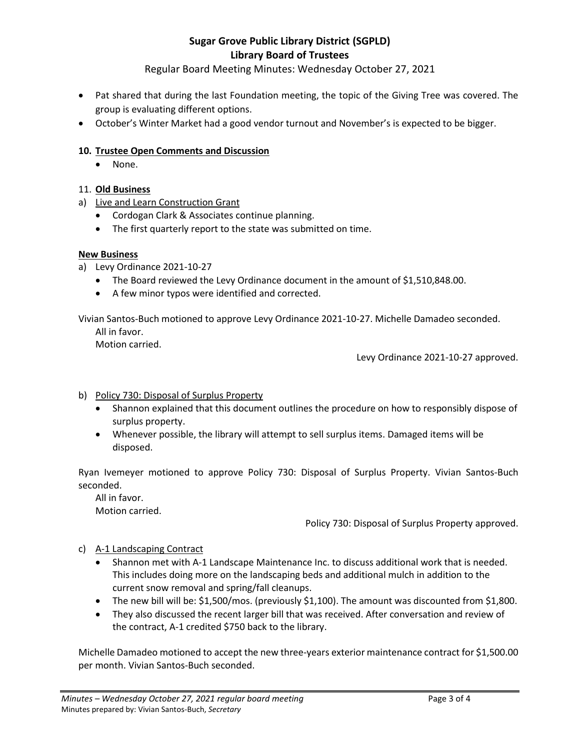Regular Board Meeting Minutes: Wednesday October 27, 2021

- Pat shared that during the last Foundation meeting, the topic of the Giving Tree was covered. The group is evaluating different options.
- October's Winter Market had a good vendor turnout and November's is expected to be bigger.

# **10. Trustee Open Comments and Discussion**

• None.

# 11. **Old Business**

- a) Live and Learn Construction Grant
	- Cordogan Clark & Associates continue planning.
	- The first quarterly report to the state was submitted on time.

# **New Business**

- a) Levy Ordinance 2021-10-27
	- The Board reviewed the Levy Ordinance document in the amount of \$1,510,848.00.
	- A few minor typos were identified and corrected.

Vivian Santos-Buch motioned to approve Levy Ordinance 2021-10-27. Michelle Damadeo seconded.

All in favor.

Motion carried.

Levy Ordinance 2021-10-27 approved.

- b) Policy 730: Disposal of Surplus Property
	- Shannon explained that this document outlines the procedure on how to responsibly dispose of surplus property.
	- Whenever possible, the library will attempt to sell surplus items. Damaged items will be disposed.

Ryan Ivemeyer motioned to approve Policy 730: Disposal of Surplus Property. Vivian Santos-Buch seconded.

All in favor. Motion carried.

Policy 730: Disposal of Surplus Property approved.

- c) A-1 Landscaping Contract
	- Shannon met with A-1 Landscape Maintenance Inc. to discuss additional work that is needed. This includes doing more on the landscaping beds and additional mulch in addition to the current snow removal and spring/fall cleanups.
	- The new bill will be: \$1,500/mos. (previously \$1,100). The amount was discounted from \$1,800.
	- They also discussed the recent larger bill that was received. After conversation and review of the contract, A-1 credited \$750 back to the library.

Michelle Damadeo motioned to accept the new three-years exterior maintenance contract for \$1,500.00 per month. Vivian Santos-Buch seconded.